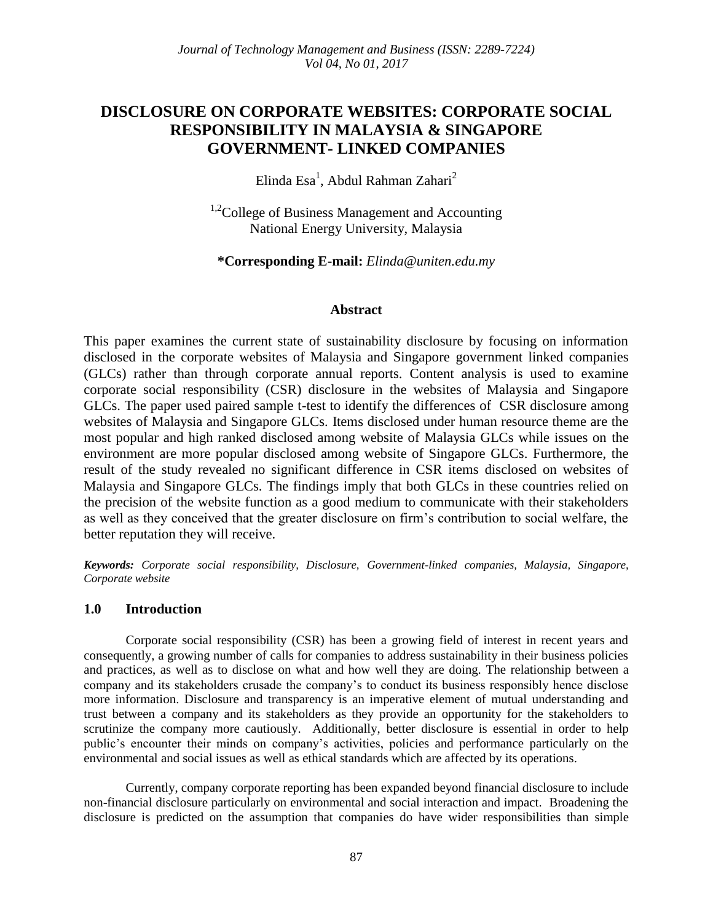# **DISCLOSURE ON CORPORATE WEBSITES: CORPORATE SOCIAL RESPONSIBILITY IN MALAYSIA & SINGAPORE GOVERNMENT- LINKED COMPANIES**

Elinda Esa<sup>1</sup>, Abdul Rahman Zahari<sup>2</sup>

 $1.2$ College of Business Management and Accounting National Energy University, Malaysia

**\*Corresponding E-mail:** *Elinda@uniten.edu.my*

# **Abstract**

This paper examines the current state of sustainability disclosure by focusing on information disclosed in the corporate websites of Malaysia and Singapore government linked companies (GLCs) rather than through corporate annual reports. Content analysis is used to examine corporate social responsibility (CSR) disclosure in the websites of Malaysia and Singapore GLCs. The paper used paired sample t-test to identify the differences of CSR disclosure among websites of Malaysia and Singapore GLCs. Items disclosed under human resource theme are the most popular and high ranked disclosed among website of Malaysia GLCs while issues on the environment are more popular disclosed among website of Singapore GLCs. Furthermore, the result of the study revealed no significant difference in CSR items disclosed on websites of Malaysia and Singapore GLCs. The findings imply that both GLCs in these countries relied on the precision of the website function as a good medium to communicate with their stakeholders as well as they conceived that the greater disclosure on firm's contribution to social welfare, the better reputation they will receive.

*Keywords: Corporate social responsibility, Disclosure, Government-linked companies, Malaysia, Singapore, Corporate website*

# **1.0 Introduction**

Corporate social responsibility (CSR) has been a growing field of interest in recent years and consequently, a growing number of calls for companies to address sustainability in their business policies and practices, as well as to disclose on what and how well they are doing. The relationship between a company and its stakeholders crusade the company's to conduct its business responsibly hence disclose more information. Disclosure and transparency is an imperative element of mutual understanding and trust between a company and its stakeholders as they provide an opportunity for the stakeholders to scrutinize the company more cautiously. Additionally, better disclosure is essential in order to help public's encounter their minds on company's activities, policies and performance particularly on the environmental and social issues as well as ethical standards which are affected by its operations.

Currently, company corporate reporting has been expanded beyond financial disclosure to include non-financial disclosure particularly on environmental and social interaction and impact. Broadening the disclosure is predicted on the assumption that companies do have wider responsibilities than simple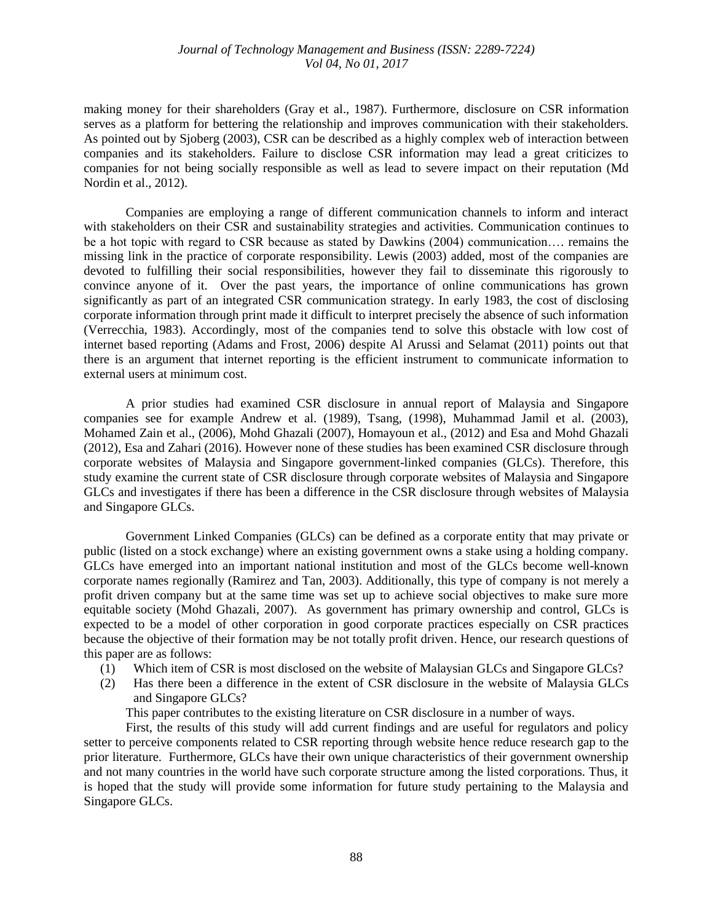### *Journal of Technology Management and Business (ISSN: 2289-7224) Vol 04, No 01, 2017*

making money for their shareholders (Gray et al., 1987). Furthermore, disclosure on CSR information serves as a platform for bettering the relationship and improves communication with their stakeholders. As pointed out by Sjoberg (2003), CSR can be described as a highly complex web of interaction between companies and its stakeholders. Failure to disclose CSR information may lead a great criticizes to companies for not being socially responsible as well as lead to severe impact on their reputation (Md Nordin et al., 2012).

Companies are employing a range of different communication channels to inform and interact with stakeholders on their CSR and sustainability strategies and activities. Communication continues to be a hot topic with regard to CSR because as stated by Dawkins (2004) communication…. remains the missing link in the practice of corporate responsibility. Lewis (2003) added, most of the companies are devoted to fulfilling their social responsibilities, however they fail to disseminate this rigorously to convince anyone of it. Over the past years, the importance of online communications has grown significantly as part of an integrated CSR communication strategy. In early 1983, the cost of disclosing corporate information through print made it difficult to interpret precisely the absence of such information (Verrecchia, 1983). Accordingly, most of the companies tend to solve this obstacle with low cost of internet based reporting (Adams and Frost, 2006) despite Al Arussi and Selamat (2011) points out that there is an argument that internet reporting is the efficient instrument to communicate information to external users at minimum cost.

A prior studies had examined CSR disclosure in annual report of Malaysia and Singapore companies see for example Andrew et al. (1989), Tsang, (1998), Muhammad Jamil et al. (2003), Mohamed Zain et al., (2006), Mohd Ghazali (2007), Homayoun et al., (2012) and Esa and Mohd Ghazali (2012), Esa and Zahari (2016). However none of these studies has been examined CSR disclosure through corporate websites of Malaysia and Singapore government-linked companies (GLCs). Therefore, this study examine the current state of CSR disclosure through corporate websites of Malaysia and Singapore GLCs and investigates if there has been a difference in the CSR disclosure through websites of Malaysia and Singapore GLCs.

Government Linked Companies (GLCs) can be defined as a corporate entity that may private or public (listed on a stock exchange) where an existing government owns a stake using a holding company. GLCs have emerged into an important national institution and most of the GLCs become well-known corporate names regionally (Ramirez and Tan, 2003). Additionally, this type of company is not merely a profit driven company but at the same time was set up to achieve social objectives to make sure more equitable society (Mohd Ghazali, 2007). As government has primary ownership and control, GLCs is expected to be a model of other corporation in good corporate practices especially on CSR practices because the objective of their formation may be not totally profit driven. Hence, our research questions of this paper are as follows:

- (1) Which item of CSR is most disclosed on the website of Malaysian GLCs and Singapore GLCs?
- (2) Has there been a difference in the extent of CSR disclosure in the website of Malaysia GLCs and Singapore GLCs?

This paper contributes to the existing literature on CSR disclosure in a number of ways.

First, the results of this study will add current findings and are useful for regulators and policy setter to perceive components related to CSR reporting through website hence reduce research gap to the prior literature. Furthermore, GLCs have their own unique characteristics of their government ownership and not many countries in the world have such corporate structure among the listed corporations. Thus, it is hoped that the study will provide some information for future study pertaining to the Malaysia and Singapore GLCs.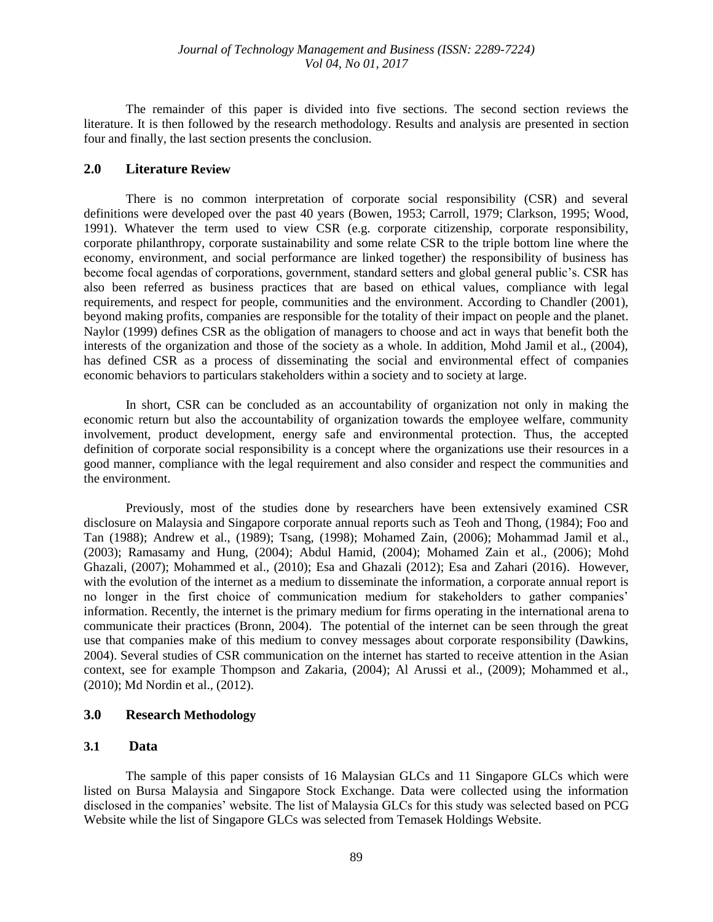The remainder of this paper is divided into five sections. The second section reviews the literature. It is then followed by the research methodology. Results and analysis are presented in section four and finally, the last section presents the conclusion.

# **2.0 Literature Review**

There is no common interpretation of corporate social responsibility (CSR) and several definitions were developed over the past 40 years (Bowen, 1953; Carroll, 1979; Clarkson, 1995; Wood, 1991). Whatever the term used to view CSR (e.g. corporate citizenship, corporate responsibility, corporate philanthropy, corporate sustainability and some relate CSR to the triple bottom line where the economy, environment, and social performance are linked together) the responsibility of business has become focal agendas of corporations, government, standard setters and global general public's. CSR has also been referred as business practices that are based on ethical values, compliance with legal requirements, and respect for people, communities and the environment. According to Chandler (2001), beyond making profits, companies are responsible for the totality of their impact on people and the planet. Naylor (1999) defines CSR as the obligation of managers to choose and act in ways that benefit both the interests of the organization and those of the society as a whole. In addition, Mohd Jamil et al., (2004), has defined CSR as a process of disseminating the social and environmental effect of companies economic behaviors to particulars stakeholders within a society and to society at large.

In short, CSR can be concluded as an accountability of organization not only in making the economic return but also the accountability of organization towards the employee welfare, community involvement, product development, energy safe and environmental protection. Thus, the accepted definition of corporate social responsibility is a concept where the organizations use their resources in a good manner, compliance with the legal requirement and also consider and respect the communities and the environment.

Previously, most of the studies done by researchers have been extensively examined CSR disclosure on Malaysia and Singapore corporate annual reports such as Teoh and Thong, (1984); Foo and Tan (1988); Andrew et al., (1989); Tsang, (1998); Mohamed Zain, (2006); Mohammad Jamil et al., (2003); Ramasamy and Hung, (2004); Abdul Hamid, (2004); Mohamed Zain et al., (2006); Mohd Ghazali, (2007); Mohammed et al., (2010); Esa and Ghazali (2012); Esa and Zahari (2016). However, with the evolution of the internet as a medium to disseminate the information, a corporate annual report is no longer in the first choice of communication medium for stakeholders to gather companies' information. Recently, the internet is the primary medium for firms operating in the international arena to communicate their practices (Bronn, 2004). The potential of the internet can be seen through the great use that companies make of this medium to convey messages about corporate responsibility (Dawkins, 2004). Several studies of CSR communication on the internet has started to receive attention in the Asian context, see for example Thompson and Zakaria, (2004); Al Arussi et al., (2009); Mohammed et al., (2010); Md Nordin et al., (2012).

# **3.0 Research Methodology**

#### **3.1 Data**

The sample of this paper consists of 16 Malaysian GLCs and 11 Singapore GLCs which were listed on Bursa Malaysia and Singapore Stock Exchange. Data were collected using the information disclosed in the companies' website. The list of Malaysia GLCs for this study was selected based on PCG Website while the list of Singapore GLCs was selected from Temasek Holdings Website.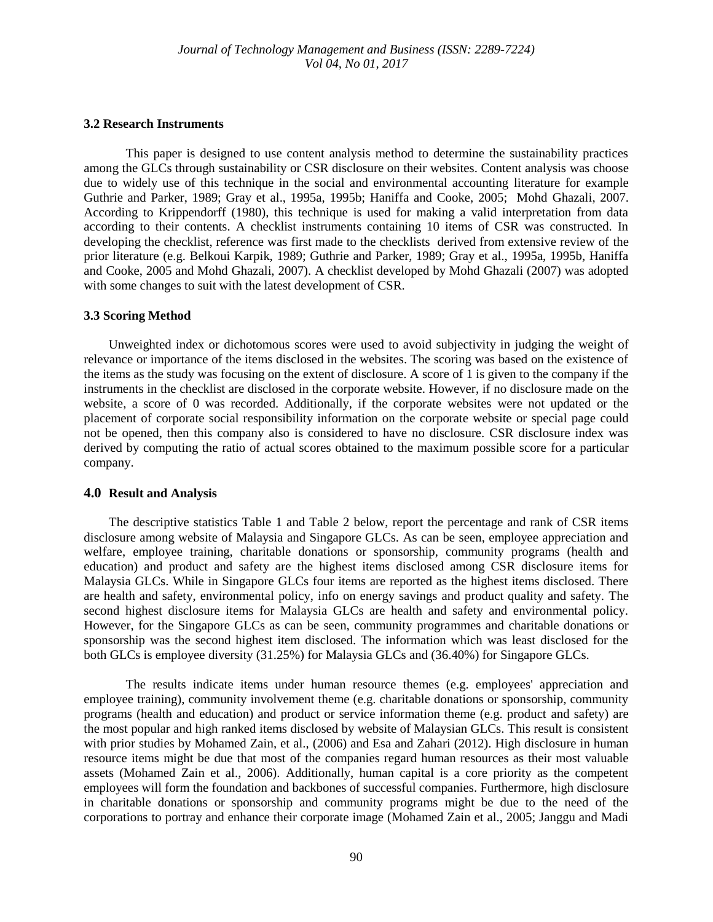#### **3.2 Research Instruments**

This paper is designed to use content analysis method to determine the sustainability practices among the GLCs through sustainability or CSR disclosure on their websites. Content analysis was choose due to widely use of this technique in the social and environmental accounting literature for example Guthrie and Parker, 1989; Gray et al., 1995a, 1995b; Haniffa and Cooke, 2005; Mohd Ghazali, 2007. According to Krippendorff (1980), this technique is used for making a valid interpretation from data according to their contents. A checklist instruments containing 10 items of CSR was constructed. In developing the checklist, reference was first made to the checklists derived from extensive review of the prior literature (e.g. Belkoui Karpik, 1989; Guthrie and Parker, 1989; Gray et al., 1995a, 1995b, Haniffa and Cooke, 2005 and Mohd Ghazali, 2007). A checklist developed by Mohd Ghazali (2007) was adopted with some changes to suit with the latest development of CSR.

#### **3.3 Scoring Method**

Unweighted index or dichotomous scores were used to avoid subjectivity in judging the weight of relevance or importance of the items disclosed in the websites. The scoring was based on the existence of the items as the study was focusing on the extent of disclosure. A score of 1 is given to the company if the instruments in the checklist are disclosed in the corporate website. However, if no disclosure made on the website, a score of 0 was recorded. Additionally, if the corporate websites were not updated or the placement of corporate social responsibility information on the corporate website or special page could not be opened, then this company also is considered to have no disclosure. CSR disclosure index was derived by computing the ratio of actual scores obtained to the maximum possible score for a particular company.

### **4.0 Result and Analysis**

The descriptive statistics Table 1 and Table 2 below, report the percentage and rank of CSR items disclosure among website of Malaysia and Singapore GLCs. As can be seen, employee appreciation and welfare, employee training, charitable donations or sponsorship, community programs (health and education) and product and safety are the highest items disclosed among CSR disclosure items for Malaysia GLCs. While in Singapore GLCs four items are reported as the highest items disclosed. There are health and safety, environmental policy, info on energy savings and product quality and safety. The second highest disclosure items for Malaysia GLCs are health and safety and environmental policy. However, for the Singapore GLCs as can be seen, community programmes and charitable donations or sponsorship was the second highest item disclosed. The information which was least disclosed for the both GLCs is employee diversity (31.25%) for Malaysia GLCs and (36.40%) for Singapore GLCs.

The results indicate items under human resource themes (e.g. employees' appreciation and employee training), community involvement theme (e.g. charitable donations or sponsorship, community programs (health and education) and product or service information theme (e.g. product and safety) are the most popular and high ranked items disclosed by website of Malaysian GLCs. This result is consistent with prior studies by Mohamed Zain, et al., (2006) and Esa and Zahari (2012). High disclosure in human resource items might be due that most of the companies regard human resources as their most valuable assets (Mohamed Zain et al., 2006). Additionally, human capital is a core priority as the competent employees will form the foundation and backbones of successful companies. Furthermore, high disclosure in charitable donations or sponsorship and community programs might be due to the need of the corporations to portray and enhance their corporate image (Mohamed Zain et al., 2005; Janggu and Madi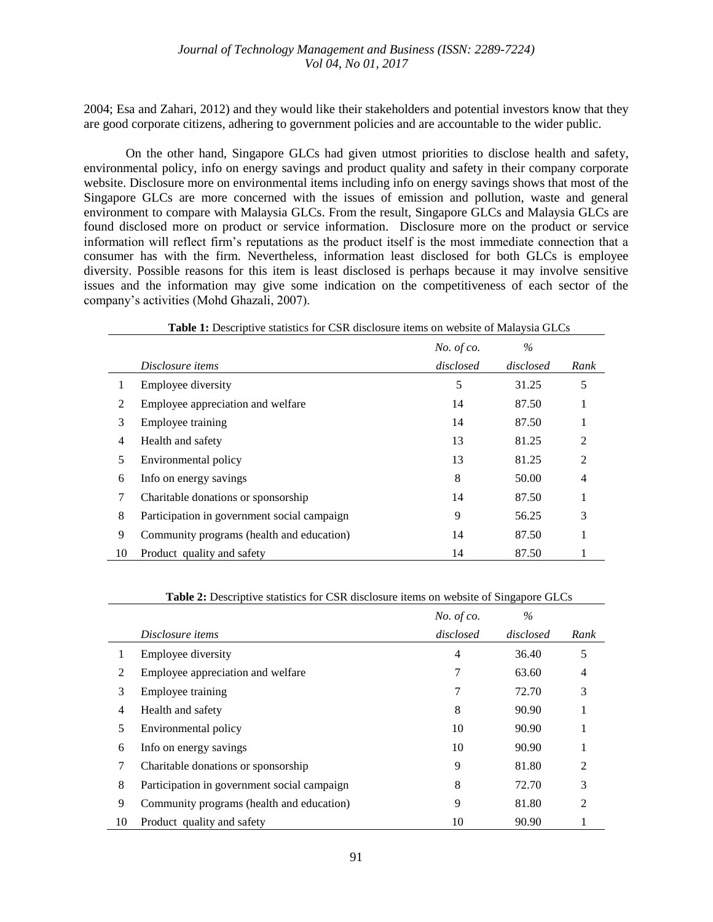2004; Esa and Zahari, 2012) and they would like their stakeholders and potential investors know that they are good corporate citizens, adhering to government policies and are accountable to the wider public.

On the other hand, Singapore GLCs had given utmost priorities to disclose health and safety, environmental policy, info on energy savings and product quality and safety in their company corporate website. Disclosure more on environmental items including info on energy savings shows that most of the Singapore GLCs are more concerned with the issues of emission and pollution, waste and general environment to compare with Malaysia GLCs. From the result, Singapore GLCs and Malaysia GLCs are found disclosed more on product or service information. Disclosure more on the product or service information will reflect firm's reputations as the product itself is the most immediate connection that a consumer has with the firm. Nevertheless, information least disclosed for both GLCs is employee diversity. Possible reasons for this item is least disclosed is perhaps because it may involve sensitive issues and the information may give some indication on the competitiveness of each sector of the company's activities (Mohd Ghazali, 2007).

|                | <b>Table 1:</b> Descriptive statistics for CSR disclosure items on website of Malaysia GLCs |               |           |                |  |  |
|----------------|---------------------------------------------------------------------------------------------|---------------|-----------|----------------|--|--|
|                |                                                                                             | No. of $co$ . | $\%$      |                |  |  |
|                | Disclosure items                                                                            | disclosed     | disclosed | Rank           |  |  |
|                | Employee diversity                                                                          | 5             | 31.25     | 5              |  |  |
| 2              | Employee appreciation and welfare                                                           | 14            | 87.50     | 1              |  |  |
| 3              | Employee training                                                                           | 14            | 87.50     | 1              |  |  |
| $\overline{4}$ | Health and safety                                                                           | 13            | 81.25     | $\overline{2}$ |  |  |
| 5              | Environmental policy                                                                        | 13            | 81.25     | $\overline{2}$ |  |  |
| 6              | Info on energy savings                                                                      | 8             | 50.00     | $\overline{4}$ |  |  |
| 7              | Charitable donations or sponsorship                                                         | 14            | 87.50     | 1              |  |  |
| 8              | Participation in government social campaign                                                 | 9             | 56.25     | 3              |  |  |
| 9              | Community programs (health and education)                                                   | 14            | 87.50     | -              |  |  |
| 10             | Product quality and safety                                                                  | 14            | 87.50     |                |  |  |

**Table 2:** Descriptive statistics for CSR disclosure items on website of Singapore GLCs

|    |                                             | No. of $co$ .  | $\%$      |                |
|----|---------------------------------------------|----------------|-----------|----------------|
|    | Disclosure items                            | disclosed      | disclosed | Rank           |
|    | Employee diversity                          | $\overline{4}$ | 36.40     | 5              |
|    | Employee appreciation and welfare           | 7              | 63.60     | 4              |
| 3  | Employee training                           | 7              | 72.70     | 3              |
| 4  | Health and safety                           | 8              | 90.90     |                |
| 5  | Environmental policy                        | 10             | 90.90     |                |
| 6  | Info on energy savings                      | 10             | 90.90     |                |
| 7  | Charitable donations or sponsorship         | 9              | 81.80     | 2              |
| 8  | Participation in government social campaign | 8              | 72.70     | 3              |
| 9  | Community programs (health and education)   | 9              | 81.80     | $\mathfrak{D}$ |
| 10 | Product quality and safety                  | 10             | 90.90     |                |

 $\overline{a}$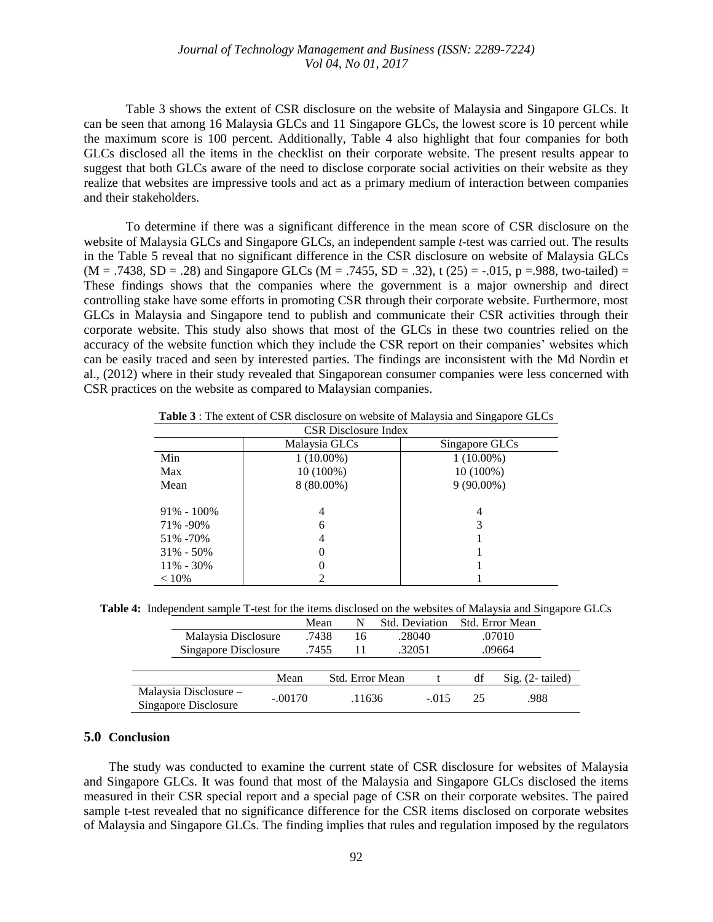Table 3 shows the extent of CSR disclosure on the website of Malaysia and Singapore GLCs. It can be seen that among 16 Malaysia GLCs and 11 Singapore GLCs, the lowest score is 10 percent while the maximum score is 100 percent. Additionally, Table 4 also highlight that four companies for both GLCs disclosed all the items in the checklist on their corporate website. The present results appear to suggest that both GLCs aware of the need to disclose corporate social activities on their website as they realize that websites are impressive tools and act as a primary medium of interaction between companies and their stakeholders.

To determine if there was a significant difference in the mean score of CSR disclosure on the website of Malaysia GLCs and Singapore GLCs, an independent sample *t*-test was carried out. The results in the Table 5 reveal that no significant difference in the CSR disclosure on website of Malaysia GLCs  $(M = .7438, SD = .28)$  and Singapore GLCs  $(M = .7455, SD = .32)$ , t  $(25) = -.015, p = .988$ , two-tailed) = These findings shows that the companies where the government is a major ownership and direct controlling stake have some efforts in promoting CSR through their corporate website. Furthermore, most GLCs in Malaysia and Singapore tend to publish and communicate their CSR activities through their corporate website. This study also shows that most of the GLCs in these two countries relied on the accuracy of the website function which they include the CSR report on their companies' websites which can be easily traced and seen by interested parties. The findings are inconsistent with the Md Nordin et al., (2012) where in their study revealed that Singaporean consumer companies were less concerned with CSR practices on the website as compared to Malaysian companies.

| <b>CSR</b> Disclosure Index |               |                |  |  |  |
|-----------------------------|---------------|----------------|--|--|--|
|                             | Malaysia GLCs | Singapore GLCs |  |  |  |
| Min                         | $1(10.00\%)$  | $1(10.00\%)$   |  |  |  |
| Max                         | 10 (100%)     | 10 (100%)      |  |  |  |
| Mean                        | $8(80.00\%)$  | $9(90.00\%)$   |  |  |  |
| $91\% - 100\%$              | 4             | 4              |  |  |  |
| 71% -90%                    | 6             | 3              |  |  |  |
| 51\% -70\%                  | 4             |                |  |  |  |
| $31\% - 50\%$               |               |                |  |  |  |
| $11\% - 30\%$               |               |                |  |  |  |
| $< 10\%$                    |               |                |  |  |  |

**Table 3** : The extent of CSR disclosure on website of Malaysia and Singapore GLCs

**Table 4:** Independent sample T-test for the items disclosed on the websites of Malaysia and Singapore GLCs Mean N Std. Deviation Std. Error Mean

| Malaysia Disclosure                           |           | .7438 | 16              |        | .28040  |    | .07010            |
|-----------------------------------------------|-----------|-------|-----------------|--------|---------|----|-------------------|
| Singapore Disclosure                          |           | .7455 |                 | .32051 |         |    | .09664            |
|                                               |           |       |                 |        |         |    |                   |
|                                               | Mean      |       | Std. Error Mean |        |         | df | $Sig. (2-tailed)$ |
| Malaysia Disclosure -<br>Singapore Disclosure | $-.00170$ |       | .11636          |        | $-.015$ | 25 | .988              |

#### **5.0 Conclusion**

The study was conducted to examine the current state of CSR disclosure for websites of Malaysia and Singapore GLCs. It was found that most of the Malaysia and Singapore GLCs disclosed the items measured in their CSR special report and a special page of CSR on their corporate websites. The paired sample t-test revealed that no significance difference for the CSR items disclosed on corporate websites of Malaysia and Singapore GLCs. The finding implies that rules and regulation imposed by the regulators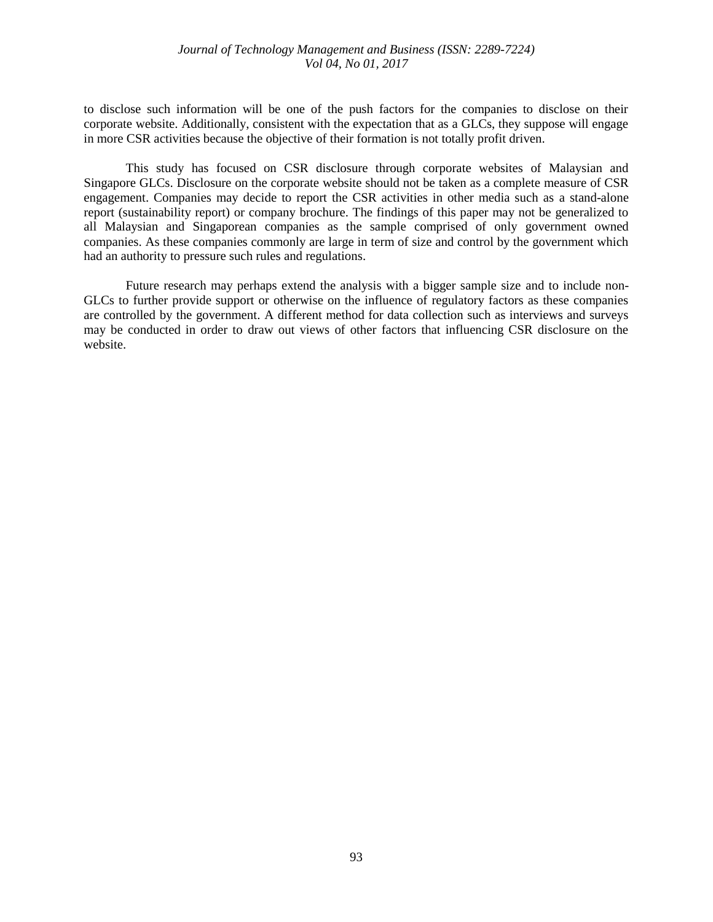## *Journal of Technology Management and Business (ISSN: 2289-7224) Vol 04, No 01, 2017*

to disclose such information will be one of the push factors for the companies to disclose on their corporate website. Additionally, consistent with the expectation that as a GLCs, they suppose will engage in more CSR activities because the objective of their formation is not totally profit driven.

This study has focused on CSR disclosure through corporate websites of Malaysian and Singapore GLCs. Disclosure on the corporate website should not be taken as a complete measure of CSR engagement. Companies may decide to report the CSR activities in other media such as a stand-alone report (sustainability report) or company brochure. The findings of this paper may not be generalized to all Malaysian and Singaporean companies as the sample comprised of only government owned companies. As these companies commonly are large in term of size and control by the government which had an authority to pressure such rules and regulations.

Future research may perhaps extend the analysis with a bigger sample size and to include non-GLCs to further provide support or otherwise on the influence of regulatory factors as these companies are controlled by the government. A different method for data collection such as interviews and surveys may be conducted in order to draw out views of other factors that influencing CSR disclosure on the website.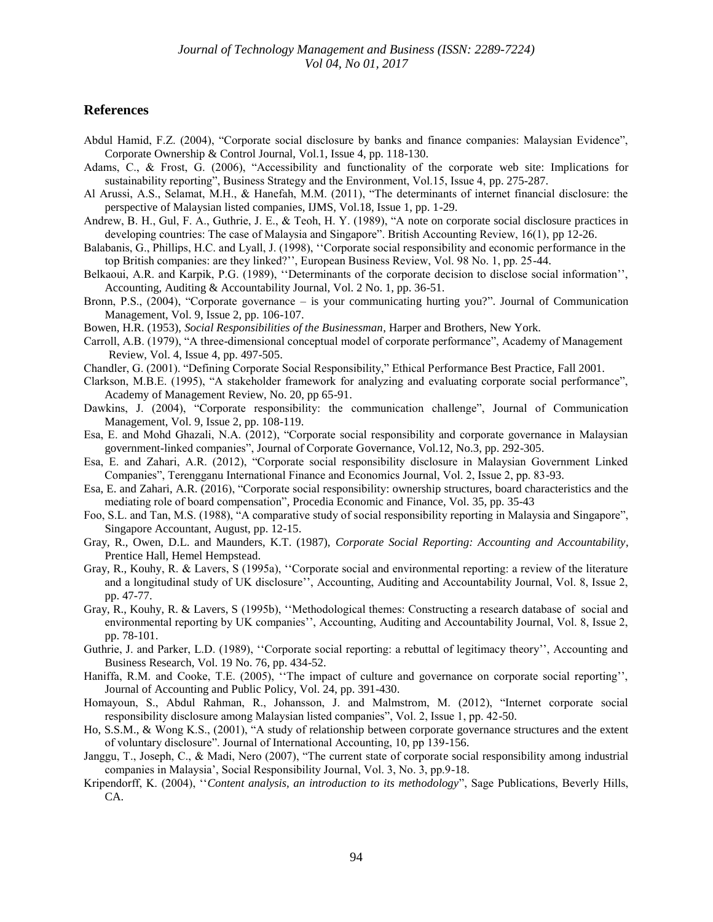## **References**

- Abdul Hamid, F.Z. (2004), "Corporate social disclosure by banks and finance companies: Malaysian Evidence", Corporate Ownership & Control Journal, Vol.1, Issue 4, pp. 118-130.
- Adams, C., & Frost, G. (2006), "Accessibility and functionality of the corporate web site: Implications for sustainability reporting", Business Strategy and the Environment, Vol.15, Issue 4, pp. 275-287.
- Al Arussi, A.S., Selamat, M.H., & Hanefah, M.M. (2011), "The determinants of internet financial disclosure: the perspective of Malaysian listed companies, IJMS, Vol.18, Issue 1, pp. 1-29.
- Andrew, B. H., Gul, F. A., Guthrie, J. E., & Teoh, H. Y. (1989), "A note on corporate social disclosure practices in developing countries: The case of Malaysia and Singapore". British Accounting Review, 16(1), pp 12-26.
- Balabanis, G., Phillips, H.C. and Lyall, J. (1998), ''Corporate social responsibility and economic performance in the top British companies: are they linked?'', European Business Review, Vol. 98 No. 1, pp. 25-44.
- Belkaoui, A.R. and Karpik, P.G. (1989), ''Determinants of the corporate decision to disclose social information'', Accounting, Auditing & Accountability Journal, Vol. 2 No. 1, pp. 36-51.
- Bronn, P.S., (2004), "Corporate governance is your communicating hurting you?". Journal of Communication Management, Vol. 9, Issue 2, pp. 106-107.
- Bowen, H.R. (1953), *Social Responsibilities of the Businessman*, Harper and Brothers, New York.
- Carroll, A.B. (1979), "A three-dimensional conceptual model of corporate performance", Academy of Management Review, Vol. 4, Issue 4, pp. 497-505.
- Chandler, G. (2001). "Defining Corporate Social Responsibility," Ethical Performance Best Practice, Fall 2001.
- Clarkson, M.B.E. (1995), "A stakeholder framework for analyzing and evaluating corporate social performance", Academy of Management Review, No. 20, pp 65-91.
- Dawkins, J. (2004), "Corporate responsibility: the communication challenge", Journal of Communication Management, Vol. 9, Issue 2, pp. 108-119.
- Esa, E. and Mohd Ghazali, N.A. (2012), "Corporate social responsibility and corporate governance in Malaysian government-linked companies", Journal of Corporate Governance, Vol.12, No.3, pp. 292-305.
- Esa, E. and Zahari, A.R. (2012), "Corporate social responsibility disclosure in Malaysian Government Linked Companies", Terengganu International Finance and Economics Journal, Vol. 2, Issue 2, pp. 83-93.
- Esa, E. and Zahari, A.R. (2016), "Corporate social responsibility: ownership structures, board characteristics and the mediating role of board compensation", Procedia Economic and Finance, Vol. 35, pp. 35-43
- Foo, S.L. and Tan, M.S. (1988), "A comparative study of social responsibility reporting in Malaysia and Singapore", Singapore Accountant, August, pp. 12-15.
- Gray, R., Owen, D.L. and Maunders, K.T. (1987), *Corporate Social Reporting: Accounting and Accountability*, Prentice Hall, Hemel Hempstead.
- Gray, R., Kouhy, R. & Lavers, S (1995a), ''Corporate social and environmental reporting: a review of the literature and a longitudinal study of UK disclosure'', Accounting, Auditing and Accountability Journal, Vol. 8, Issue 2, pp. 47-77.
- Gray, R., Kouhy, R. & Lavers, S (1995b), ''Methodological themes: Constructing a research database of social and environmental reporting by UK companies'', Accounting, Auditing and Accountability Journal, Vol. 8, Issue 2, pp. 78-101.
- Guthrie, J. and Parker, L.D. (1989), ''Corporate social reporting: a rebuttal of legitimacy theory'', Accounting and Business Research, Vol. 19 No. 76, pp. 434-52.
- Haniffa, R.M. and Cooke, T.E. (2005), "The impact of culture and governance on corporate social reporting", Journal of Accounting and Public Policy, Vol. 24, pp. 391-430.
- Homayoun, S., Abdul Rahman, R., Johansson, J. and Malmstrom, M. (2012), "Internet corporate social responsibility disclosure among Malaysian listed companies", Vol. 2, Issue 1, pp. 42-50.
- Ho, S.S.M., & Wong K.S., (2001), "A study of relationship between corporate governance structures and the extent of voluntary disclosure". Journal of International Accounting, 10, pp 139-156.
- Janggu, T., Joseph, C., & Madi, Nero (2007), "The current state of corporate social responsibility among industrial companies in Malaysia', Social Responsibility Journal, Vol. 3, No. 3, pp.9-18.
- Kripendorff, K. (2004), ''*Content analysis, an introduction to its methodology*", Sage Publications, Beverly Hills, CA.